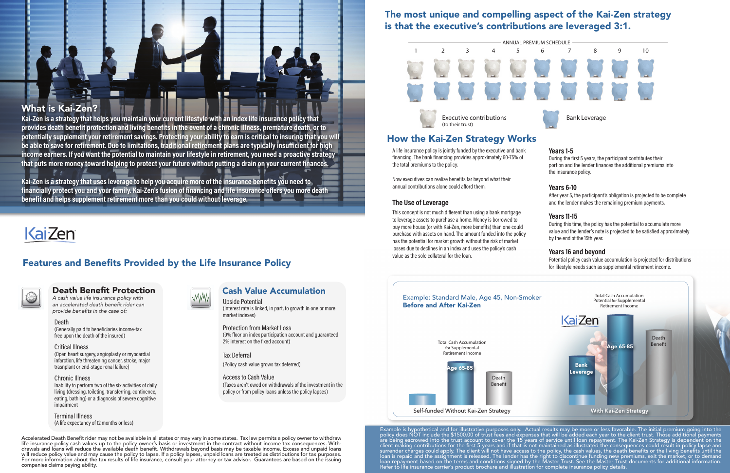Accelerated Death Benefit rider may not be available in all states or may vary in some states. Tax law permits a policy owner to withdraw life insurance policy cash values up to the policy owner's basis or investment in the contract without income tax consequences. Withdrawals and loans will reduce the available death benefit. Withdrawals beyond basis may be taxable income. Excess and unpaid loans will reduce policy value and may cause the policy to lapse. If a policy lapses, unpaid loans are treated as distributions for tax purposes. For more information about the tax results of life insurance, consult your attorney or tax advisor. Guarantees are based on the issuing companies claims paying ability.

### Features and Benefits Provided by the Life Insurance Policy



### Death Benefit Protection

*A cash value life insurance policy with*  an accelerated death benefit rider can provide benefits in the case of:

#### Death

(Generally paid to beneficiaries income-tax free upon the death of the insured)

### Critical Illness

(Open heart surgery, angioplasty or myocardial infarction, life threatening cancer, stroke, major trasnplant or end-stage renal failure)

### Chronic Illness

Inability to perform two of the six activities of daily living (dressing, toileting, transferring, continence, eating, bathing) or a diagnosis of severe cognitive impairment

Terminal Illness (A life expectancy of 12 months or less)



### Cash Value Accumulation

11

Upside Potential (Interest rate is linked, in part, to growth in one or more market indexes)

#### Protection from Market Loss (0% floor on index participation account and guaranteed 2% interest on the fixed account)

Tax Deferral (Policy cash value grows tax deferred)

Access to Cash Value (Taxes aren't owed on withdrawals of the investment in the policy or from policy loans unless the policy lapses)

**Kai-Zen is a strategy that helps you maintain your current lifestyle with an index life insurance policy that provides death benefit protection and living benefits in the event of a chronic illness, premature death, or to potentially supplement your retirement savings. Protecting your ability to earn is critical to insuring that you will be able to save for retirement. Due to limitations, traditional retirement plans are typically insufficient for high income earners. If you want the potential to maintain your lifestyle in retirement, you need a proactive strategy that puts more money toward helping to protect your future without putting a drain on your current finances.** 

**Kai-Zen is a strategy that uses leverage to help you acquire more of the insurance benefits you need to financially protect you and your family. Kai-Zen's fusion of financing and life insurance offers you more death benefit and helps supplement retirement more than you could without leverage.**

# Kai-Zen

### How the Kai-Zen Strategy Works

A life insurance policy is jointly funded by the executive and bank financing. The bank financing provides approximately 60-75% of the total premiums to the policy.

Now executives can realize benefits far beyond what their annual contributions alone could afford them.

### **The Use of Leverage**

This concept is not much different than using a bank mortgage to leverage assets to purchase a home. Money is borrowed to buy more house (or with Kai-Zen, more benefits) than one could purchase with assets on hand. The amount funded into the policy has the potential for market growth without the risk of market losses due to declines in an index and uses the policy's cash value as the sole collateral for the loan.

### **Years 1-5**

During the first 5 years, the participant contributes their portion and the lender finances the additional premiums into the insurance policy.





### **Years 6-10**

After year 5, the participant's obligation is projected to be complete and the lender makes the remaining premium payments.

### **Years 11-15**

During this time, the policy has the potential to accumulate more value and the lender's note is projected to be satisfied approximately by the end of the 15th year.

### **Years 16 and beyond**

Potential policy cash value accumulation is projected for distributions for lifestyle needs such as supplemental retirement income.

### The most unique and compelling aspect of the Kai-Zen strategy is that the executive's contributions are leveraged 3:1.

### What is Kai-Zen?

Example is hypothetical and for illustrative purposes only. Actual results may be more or less favorable. The initial premium going into the policy does NOT include the \$1500.00 of trust fees and expenses that will be added each year to the client trust. Those additional payments are being escrowed into the trust account to cover the 15 years of service until loan repayment. The Kai-Zen Strategy is dependent on the client making contributions for the first 5 years and if that is not maintained as illustrated the consequences could result in policy lapse and surrender charges could apply. The client will not have access to the policy, the cash values, the death benefits or the living benefits until the loan is repaid and the assignment is released. The lender has the right to discontinue funding new premiums, exit the market, or to demand loan repayment based on the terms and conditions signed by the Master Trust. See the Master Trust documents for additional information. Refer to life insurance carrier's product brochure and illustration for complete insurance policy details.